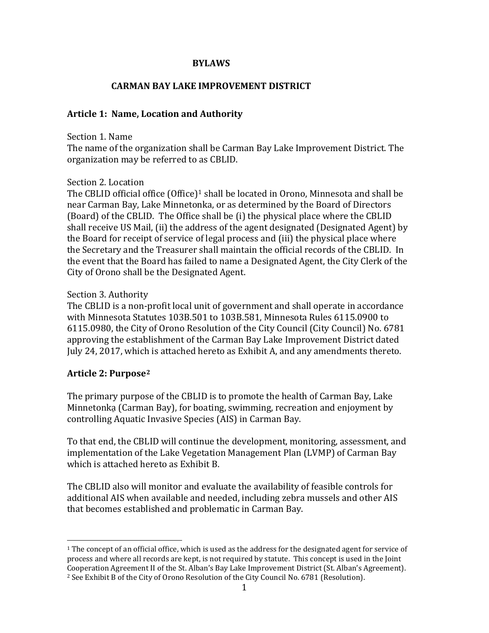### **BYLAWS**

## **CARMAN BAY LAKE IMPROVEMENT DISTRICT**

### **Article 1: Name, Location and Authority**

#### Section 1. Name

The name of the organization shall be Carman Bay Lake Improvement District. The organization may be referred to as CBLID.

#### Section 2. Location

The CBLID official office  $(Office)^1$  $(Office)^1$  shall be located in Orono, Minnesota and shall be near Carman Bay, Lake Minnetonka, or as determined by the Board of Directors (Board) of the CBLID. The Office shall be (i) the physical place where the CBLID shall receive US Mail, (ii) the address of the agent designated (Designated Agent) by the Board for receipt of service of legal process and (iii) the physical place where the Secretary and the Treasurer shall maintain the official records of the CBLID. In the event that the Board has failed to name a Designated Agent, the City Clerk of the City of Orono shall be the Designated Agent.

#### Section 3. Authority

The CBLID is a non-profit local unit of government and shall operate in accordance with Minnesota Statutes 103B.501 to 103B.581, Minnesota Rules 6115.0900 to 6115.0980, the City of Orono Resolution of the City Council (City Council) No. 6781 approving the establishment of the Carman Bay Lake Improvement District dated July 24, 2017, which is attached hereto as Exhibit A, and any amendments thereto.

#### **Article 2: Purpose[2](#page-0-1)**

The primary purpose of the CBLID is to promote the health of Carman Bay, Lake Minnetonka (Carman Bay), for boating, swimming, recreation and enjoyment by controlling Aquatic Invasive Species (AIS) in Carman Bay.

To that end, the CBLID will continue the development, monitoring, assessment, and implementation of the Lake Vegetation Management Plan (LVMP) of Carman Bay which is attached hereto as Exhibit B.

The CBLID also will monitor and evaluate the availability of feasible controls for additional AIS when available and needed, including zebra mussels and other AIS that becomes established and problematic in Carman Bay.

<span id="page-0-1"></span><span id="page-0-0"></span><sup>&</sup>lt;sup>1</sup> The concept of an official office, which is used as the address for the designated agent for service of process and where all records are kept, is not required by statute. This concept is used in the Joint Cooperation Agreement II of the St. Alban's Bay Lake Improvement District (St. Alban's Agreement). <sup>2</sup> See Exhibit B of the City of Orono Resolution of the City Council No. 6781 (Resolution).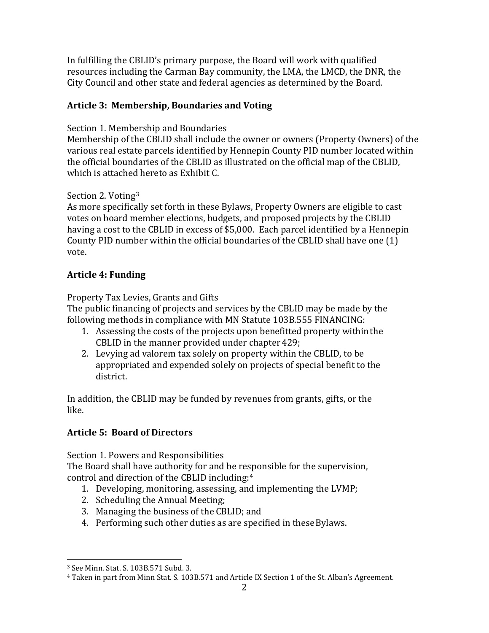In fulfilling the CBLID's primary purpose, the Board will work with qualified resources including the Carman Bay community, the LMA, the LMCD, the DNR, the City Council and other state and federal agencies as determined by the Board.

## **Article 3: Membership, Boundaries and Voting**

Section 1. Membership and Boundaries

Membership of the CBLID shall include the owner or owners (Property Owners) of the various real estate parcels identified by Hennepin County PID number located within the official boundaries of the CBLID as illustrated on the official map of the CBLID, which is attached hereto as Exhibit C.

## Section 2. Voting[3](#page-1-0)

As more specifically set forth in these Bylaws, Property Owners are eligible to cast votes on board member elections, budgets, and proposed projects by the CBLID having a cost to the CBLID in excess of \$5,000. Each parcel identified by a Hennepin County PID number within the official boundaries of the CBLID shall have one (1) vote.

## **Article 4: Funding**

Property Tax Levies, Grants and Gifts

The public financing of projects and services by the CBLID may be made by the following methods in compliance with MN Statute 103B.555 FINANCING:

- 1. Assessing the costs of the projects upon benefitted property withinthe CBLID in the manner provided under chapter 429;
- 2. Levying ad valorem tax solely on property within the CBLID, to be appropriated and expended solely on projects of special benefit to the district.

In addition, the CBLID may be funded by revenues from grants, gifts, or the like.

## **Article 5: Board of Directors**

Section 1. Powers and Responsibilities

The Board shall have authority for and be responsible for the supervision, control and direction of the CBLID including:[4](#page-1-1)

- 1. Developing, monitoring, assessing, and implementing the LVMP;
- 2. Scheduling the Annual Meeting;
- 3. Managing the business of the CBLID; and
- 4. Performing such other duties as are specified in these Bylaws.

<span id="page-1-1"></span><span id="page-1-0"></span>

<sup>&</sup>lt;sup>3</sup> See Minn. Stat. S. 103B.571 Subd. 3.<br><sup>4</sup> Taken in part from Minn Stat. S. 103B.571 and Article IX Section 1 of the St. Alban's Agreement.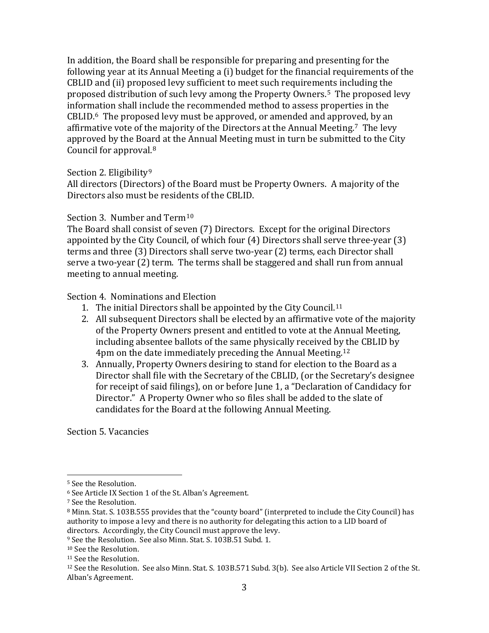In addition, the Board shall be responsible for preparing and presenting for the following year at its Annual Meeting a (i) budget for the financial requirements of the CBLID and (ii) proposed levy sufficient to meet such requirements including the proposed distribution of such levy among the Property Owners.[5](#page-2-0) The proposed levy information shall include the recommended method to assess properties in the CBLID.[6](#page-2-1) The proposed levy must be approved, or amended and approved, by an affirmative vote of the majority of the Directors at the Annual Meeting.[7](#page-2-2) The levy approved by the Board at the Annual Meeting must in turn be submitted to the City Council for approval.[8](#page-2-3)

### Section 2. Eligibility<sup>[9](#page-2-4)</sup>

All directors (Directors) of the Board must be Property Owners. A majority of the Directors also must be residents of the CBLID.

Section 3. Number and Term<sup>[10](#page-2-5)</sup>

The Board shall consist of seven (7) Directors. Except for the original Directors appointed by the City Council, of which four (4) Directors shall serve three-year (3) terms and three (3) Directors shall serve two-year (2) terms, each Director shall serve a two-year (2) term. The terms shall be staggered and shall run from annual meeting to annual meeting.

Section 4. Nominations and Election

- 1. The initial Directors shall be appointed by the City Council.[11](#page-2-6)
- 2. All subsequent Directors shall be elected by an affirmative vote of the majority of the Property Owners present and entitled to vote at the Annual Meeting, including absentee ballots of the same physically received by the CBLID by 4pm on the date immediately preceding the Annual Meeting. [12](#page-2-7)
- 3. Annually, Property Owners desiring to stand for election to the Board as a Director shall file with the Secretary of the CBLID, (or the Secretary's designee for receipt of said filings), on or before June 1, a "Declaration of Candidacy for Director." A Property Owner who so files shall be added to the slate of candidates for the Board at the following Annual Meeting.

Section 5. Vacancies

<span id="page-2-0"></span> <sup>5</sup> See the Resolution.

<span id="page-2-1"></span><sup>6</sup> See Article IX Section 1 of the St. Alban's Agreement.

<span id="page-2-2"></span><sup>7</sup> See the Resolution.

<span id="page-2-3"></span><sup>8</sup> Minn. Stat. S. 103B.555 provides that the "county board" (interpreted to include the City Council) has authority to impose a levy and there is no authority for delegating this action to a LID board of directors. Accordingly, the City Council must approve the levy.

<span id="page-2-4"></span><sup>9</sup> See the Resolution. See also Minn. Stat. S. 103B.51 Subd. 1.

<span id="page-2-5"></span><sup>10</sup> See the Resolution.

<span id="page-2-6"></span><sup>&</sup>lt;sup>11</sup> See the Resolution.

<span id="page-2-7"></span><sup>12</sup> See the Resolution. See also Minn. Stat. S. 103B.571 Subd. 3(b). See also Article VII Section 2 of the St. Alban's Agreement.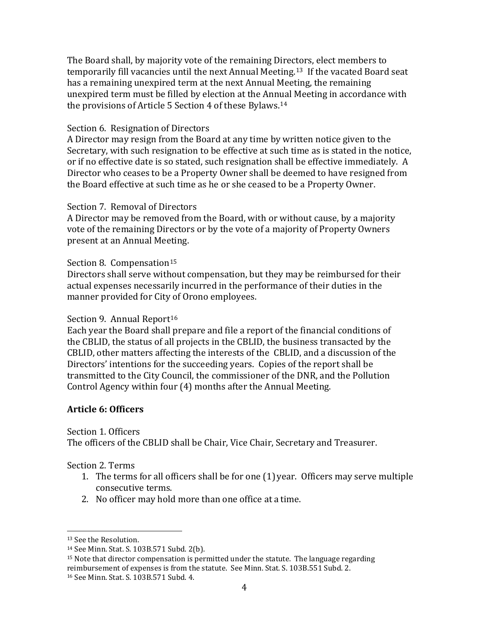The Board shall, by majority vote of the remaining Directors, elect members to temporarily fill vacancies until the next Annual Meeting.[13](#page-3-0) If the vacated Board seat has a remaining unexpired term at the next Annual Meeting, the remaining unexpired term must be filled by election at the Annual Meeting in accordance with the provisions of Article 5 Section 4 of these Bylaws.[14](#page-3-1)

#### Section 6. Resignation of Directors

A Director may resign from the Board at any time by written notice given to the Secretary, with such resignation to be effective at such time as is stated in the notice, or if no effective date is so stated, such resignation shall be effective immediately. A Director who ceases to be a Property Owner shall be deemed to have resigned from the Board effective at such time as he or she ceased to be a Property Owner.

### Section 7. Removal of Directors

A Director may be removed from the Board, with or without cause, by a majority vote of the remaining Directors or by the vote of a majority of Property Owners present at an Annual Meeting.

### Section 8. Compensation<sup>[15](#page-3-2)</sup>

Directors shall serve without compensation, but they may be reimbursed for their actual expenses necessarily incurred in the performance of their duties in the manner provided for City of Orono employees.

#### Section 9. Annual Report<sup>[16](#page-3-3)</sup>

Each year the Board shall prepare and file a report of the financial conditions of the CBLID, the status of all projects in the CBLID, the business transacted by the CBLID, other matters affecting the interests of the CBLID, and a discussion of the Directors' intentions for the succeeding years. Copies of the report shall be transmitted to the City Council, the commissioner of the DNR, and the Pollution Control Agency within four (4) months after the Annual Meeting.

## **Article 6: Officers**

Section 1. Officers

The officers of the CBLID shall be Chair, Vice Chair, Secretary and Treasurer.

## Section 2. Terms

- 1. The terms for all officers shall be for one (1) year. Officers may serve multiple consecutive terms.
- 2. No officer may hold more than one office at a time.

<span id="page-3-0"></span> <sup>13</sup> See the Resolution.

<span id="page-3-1"></span><sup>14</sup> See Minn. Stat. S. 103B.571 Subd. 2(b).

<span id="page-3-2"></span><sup>&</sup>lt;sup>15</sup> Note that director compensation is permitted under the statute. The language regarding reimbursement of expenses is from the statute. See Minn. Stat. S. 103B.551 Subd. 2.

<span id="page-3-3"></span><sup>16</sup> See Minn. Stat. S. 103B.571 Subd. 4.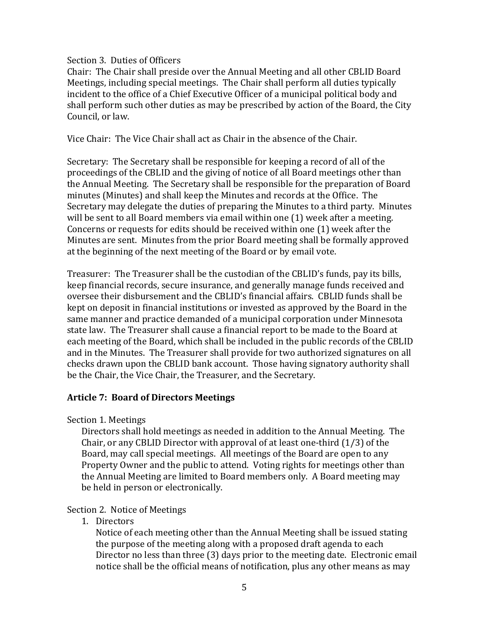#### Section 3. Duties of Officers

Chair: The Chair shall preside over the Annual Meeting and all other CBLID Board Meetings, including special meetings. The Chair shall perform all duties typically incident to the office of a Chief Executive Officer of a municipal political body and shall perform such other duties as may be prescribed by action of the Board, the City Council, or law.

Vice Chair: The Vice Chair shall act as Chair in the absence of the Chair.

Secretary: The Secretary shall be responsible for keeping a record of all of the proceedings of the CBLID and the giving of notice of all Board meetings other than the Annual Meeting. The Secretary shall be responsible for the preparation of Board minutes (Minutes) and shall keep the Minutes and records at the Office. The Secretary may delegate the duties of preparing the Minutes to a third party. Minutes will be sent to all Board members via email within one (1) week after a meeting. Concerns or requests for edits should be received within one (1) week after the Minutes are sent. Minutes from the prior Board meeting shall be formally approved at the beginning of the next meeting of the Board or by email vote.

Treasurer: The Treasurer shall be the custodian of the CBLID's funds, pay its bills, keep financial records, secure insurance, and generally manage funds received and oversee their disbursement and the CBLID's financial affairs. CBLID funds shall be kept on deposit in financial institutions or invested as approved by the Board in the same manner and practice demanded of a municipal corporation under Minnesota state law. The Treasurer shall cause a financial report to be made to the Board at each meeting of the Board, which shall be included in the public records of the CBLID and in the Minutes. The Treasurer shall provide for two authorized signatures on all checks drawn upon the CBLID bank account. Those having signatory authority shall be the Chair, the Vice Chair, the Treasurer, and the Secretary.

#### **Article 7: Board of Directors Meetings**

Section 1. Meetings

Directors shall hold meetings as needed in addition to the Annual Meeting. The Chair, or any CBLID Director with approval of at least one-third (1/3) of the Board, may call special meetings. All meetings of the Board are open to any Property Owner and the public to attend. Voting rights for meetings other than the Annual Meeting are limited to Board members only. A Board meeting may be held in person or electronically.

#### Section 2. Notice of Meetings

1. Directors

Notice of each meeting other than the Annual Meeting shall be issued stating the purpose of the meeting along with a proposed draft agenda to each Director no less than three (3) days prior to the meeting date. Electronic email notice shall be the official means of notification, plus any other means as may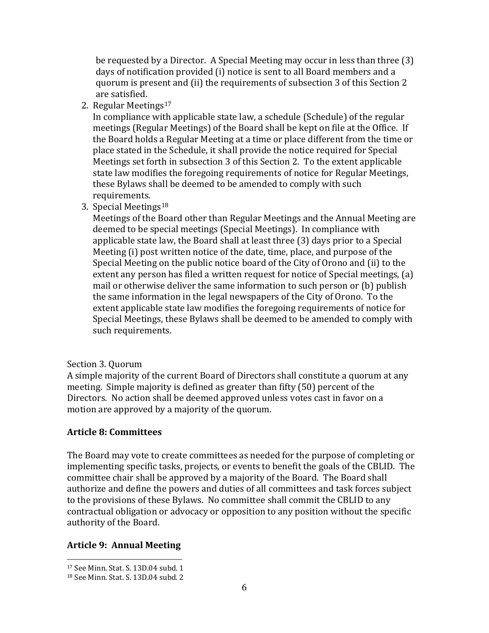be requested by a Director. A Special Meeting may occur in less than three (3) days of notification provided (i) notice is sent to all Board members and a quorum is present and (ii) the requirements of subsection 3 of this Section 2 are satisfied.

2. Regular Meetings<sup>[17](#page-5-0)</sup>

In compliance with applicable state law, a schedule (Schedule) of the regular meetings (Regular Meetings) of the Board shall be kept on file at the Office. If the Board holds a Regular Meeting at a time or place different from the time or place stated in the Schedule, it shall provide the notice required for Special Meetings set forth in subsection 3 of this Section 2. To the extent applicable state law modifies the foregoing requirements of notice for Regular Meetings, these Bylaws shall be deemed to be amended to comply with such requirements.

3. Special Meetings[18](#page-5-1)

Meetings of the Board other than Regular Meetings and the Annual Meeting are deemed to be special meetings (Special Meetings). In compliance with applicable state law, the Board shall at least three (3) days prior to a Special Meeting (i) post written notice of the date, time, place, and purpose of the Special Meeting on the public notice board of the City of Orono and (ii) to the extent any person has filed a written request for notice of Special meetings, (a) mail or otherwise deliver the same information to such person or (b) publish the same information in the legal newspapers of the City of Orono. To the extent applicable state law modifies the foregoing requirements of notice for Special Meetings, these Bylaws shall be deemed to be amended to comply with such requirements.

## Section 3. Quorum

A simple majority of the current Board of Directors shall constitute a quorum at any meeting. Simple majority is defined as greater than fifty (50) percent of the Directors. No action shall be deemed approved unless votes cast in favor on a motion are approved by a majority of the quorum.

## **Article 8: Committees**

The Board may vote to create committees as needed for the purpose of completing or implementing specific tasks, projects, or events to benefit the goals of the CBLID. The committee chair shall be approved by a majority of the Board. The Board shall authorize and define the powers and duties of all committees and task forces subject to the provisions of these Bylaws. No committee shall commit the CBLID to any contractual obligation or advocacy or opposition to any position without the specific authority of the Board.

## **Article 9: Annual Meeting**

<span id="page-5-0"></span> <sup>17</sup> See Minn. Stat. S. 13D.04 subd. 1

<span id="page-5-1"></span><sup>18</sup> See Minn. Stat. S. 13D.04 subd. 2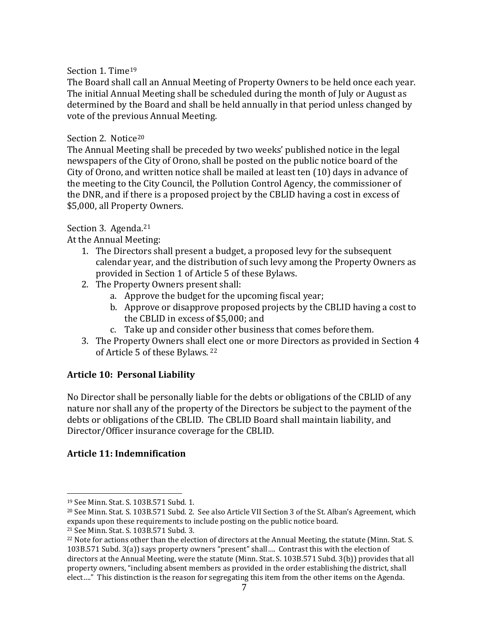## Section 1. Time<sup>[19](#page-6-0)</sup>

The Board shall call an Annual Meeting of Property Owners to be held once each year. The initial Annual Meeting shall be scheduled during the month of July or August as determined by the Board and shall be held annually in that period unless changed by vote of the previous Annual Meeting.

## Section 2. Notice<sup>[20](#page-6-1)</sup>

The Annual Meeting shall be preceded by two weeks' published notice in the legal newspapers of the City of Orono, shall be posted on the public notice board of the City of Orono, and written notice shall be mailed at least ten (10) days in advance of the meeting to the City Council, the Pollution Control Agency, the commissioner of the DNR, and if there is a proposed project by the CBLID having a cost in excess of \$5,000, all Property Owners.

# Section 3. Agenda.<sup>[21](#page-6-2)</sup>

At the Annual Meeting:

- 1. The Directors shall present a budget, a proposed levy for the subsequent calendar year, and the distribution of such levy among the Property Owners as provided in Section 1 of Article 5 of these Bylaws.
- 2. The Property Owners present shall:
	- a. Approve the budget for the upcoming fiscal year;
	- b. Approve or disapprove proposed projects by the CBLID having a cost to the CBLID in excess of \$5,000; and
	- c. Take up and consider other business that comes beforethem.
- 3. The Property Owners shall elect one or more Directors as provided in Section 4 of Article 5 of these Bylaws. [22](#page-6-3)

## **Article 10: Personal Liability**

No Director shall be personally liable for the debts or obligations of the CBLID of any nature nor shall any of the property of the Directors be subject to the payment of the debts or obligations of the CBLID. The CBLID Board shall maintain liability, and Director/Officer insurance coverage for the CBLID.

## **Article 11: Indemnification**

<span id="page-6-0"></span> <sup>19</sup> See Minn. Stat. S. 103B.571 Subd. 1.

<span id="page-6-1"></span><sup>20</sup> See Minn. Stat. S. 103B.571 Subd. 2. See also Article VII Section 3 of the St. Alban's Agreement, which expands upon these requirements to include posting on the public notice board.<br><sup>21</sup> See Minn. Stat. S. 103B.571 Subd. 3.

<span id="page-6-2"></span>

<span id="page-6-3"></span><sup>&</sup>lt;sup>22</sup> Note for actions other than the election of directors at the Annual Meeting, the statute (Minn. Stat. S. 103B.571 Subd. 3(a)) says property owners "present" shall…. Contrast this with the election of directors at the Annual Meeting, were the statute (Minn. Stat. S. 103B.571 Subd. 3(b)) provides that all property owners, "including absent members as provided in the order establishing the district, shall elect…." This distinction is the reason for segregating this item from the other items on the Agenda.